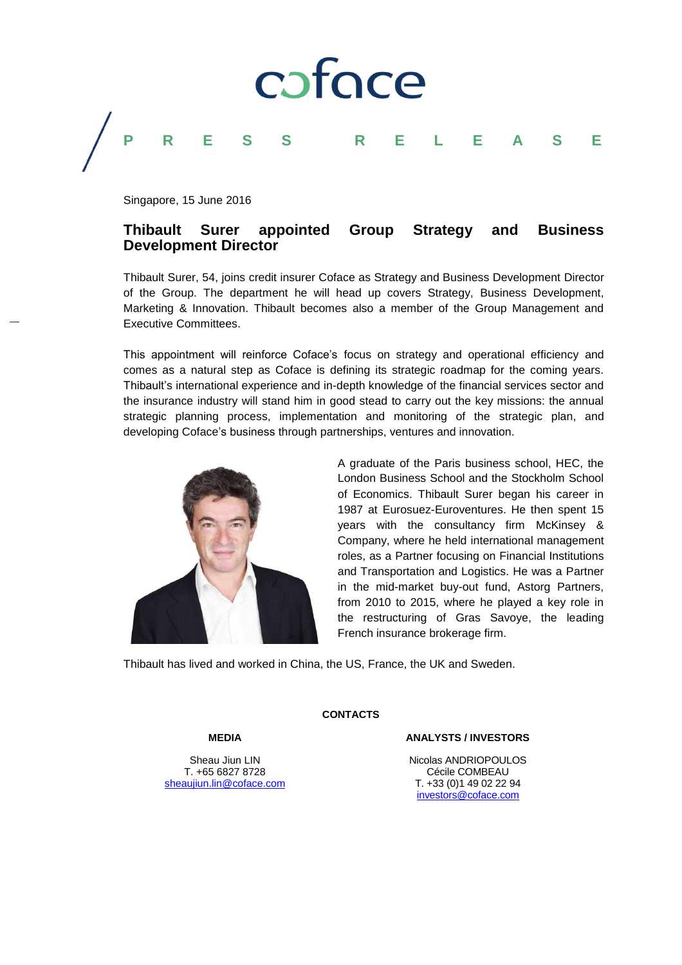

Singapore, 15 June 2016

### **Thibault Surer appointed Group Strategy and Business Development Director**

Thibault Surer, 54, joins credit insurer Coface as Strategy and Business Development Director of the Group. The department he will head up covers Strategy, Business Development, Marketing & Innovation. Thibault becomes also a member of the Group Management and Executive Committees.

This appointment will reinforce Coface's focus on strategy and operational efficiency and comes as a natural step as Coface is defining its strategic roadmap for the coming years. Thibault's international experience and in-depth knowledge of the financial services sector and the insurance industry will stand him in good stead to carry out the key missions: the annual strategic planning process, implementation and monitoring of the strategic plan, and developing Coface's business through partnerships, ventures and innovation.



A graduate of the Paris business school, HEC, the London Business School and the Stockholm School of Economics. Thibault Surer began his career in 1987 at Eurosuez-Euroventures. He then spent 15 years with the consultancy firm McKinsey & Company, where he held international management roles, as a Partner focusing on Financial Institutions and Transportation and Logistics. He was a Partner in the mid-market buy-out fund, Astorg Partners, from 2010 to 2015, where he played a key role in the restructuring of Gras Savoye, the leading French insurance brokerage firm.

Thibault has lived and worked in China, the US, France, the UK and Sweden.

#### **MEDIA**

#### Sheau Jiun LIN T. +65 6827 8728 [sheaujiun.lin@coface.com](mailto:sheaujiun.lin@coface.com)

**CONTACTS**

#### **ANALYSTS / INVESTORS**

Nicolas ANDRIOPOULOS Cécile COMBEAU T. +33 (0)1 49 02 22 94 [investors@coface.com](mailto:investors@coface.com)